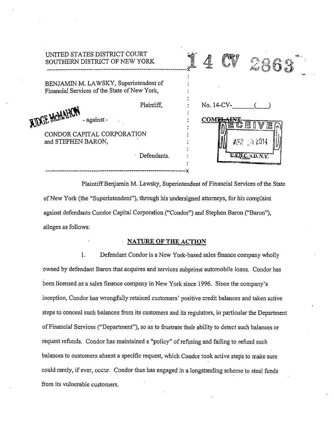| UNITED STATES DISTRICT COURT<br>SOUTHERN DISTRICT OF NEW YORK                         |             |                |                                 |                           |
|---------------------------------------------------------------------------------------|-------------|----------------|---------------------------------|---------------------------|
| BENJAMIN M. LAWSKY, Superintendent of<br>Financial Services of the State of New York, |             |                |                                 |                           |
| AIDGE MOM<br>- against -                                                              | Plaintiff,  |                | No. 14-CV-<br>COMP <del>L</del> |                           |
| CONDOR CAPITAL CORPORATION<br>and STEPHEN BARON,                                      |             | $A \ge 2.2014$ |                                 |                           |
|                                                                                       | Defendants. |                |                                 | <b>U.S.D.C. S.D. N.Y.</b> |

Plaintiff Benjamin M. Lawsky, Superintendent of Financial Services of the State ofNew York (the "Superintendent"), through his undersigned attorneys, for his complaint against defendants Condor Capital Corporation ("Condor") and Stephen Baron ("Baron"), alleges as follows:

# **NATURE OF THE ACTION**

I. Defendant Condor is a New York-based sales finance company wholly owned by defendant Baron that acquires and services subprime automobile loans. Condor has been licensed as a sales finance company in New York since 1996. Since the company's inception, Condor has wrongfully retained customers' positive credit balances and taken active steps to conceal such balances from its customers and its regulators, in particular the Department of Financial Services ("Department"), so as to frustrate their ability to detect such balances or request refunds. Condor has maintained a "policy" of refusing and failing to refund such balances to customers absent a specific request, which Condor took active steps to make sure could rarely, if ever, occur. Condor thus has engaged in a longstanding scheme to steal funds from its vulnerable customers.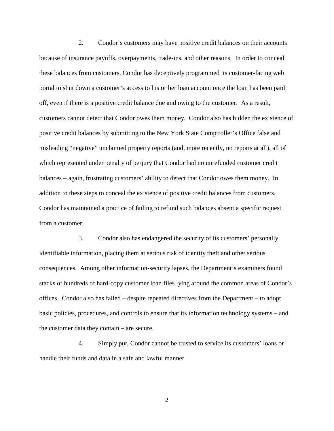these balances from customers, Condor has deceptively programmed its customer-facing web positive credit balances by submitting to the New York State Comptroller's Office false and misleading "negative" unclaimed property reports (and, more recently, no reports at all), all of Condor has maintained a practice of failing to refund such balances absent a specific request 2. Condor's customers may have positive credit balances on their accounts because of insurance payoffs, overpayments, trade-ins, and other reasons. In order to conceal portal to shut down a customer's access to his or her loan account once the loan has been paid off, even if there is a positive credit balance due and owing to the customer. As a result, customers cannot detect that Condor owes them money. Condor also has hidden the existence of which represented under penalty of perjury that Condor had no unrefunded customer credit balances – again, frustrating customers' ability to detect that Condor owes them money. In addition to these steps to conceal the existence of positive credit balances from customers, from a customer.

 offices. Condor also has failed – despite repeated directives from the Department – to adopt 3. Condor also has endangered the security of its customers' personally identifiable information, placing them at serious risk of identity theft and other serious consequences. Among other information-security lapses, the Department's examiners found stacks of hundreds of hard-copy customer loan files lying around the common areas of Condor's basic policies, procedures, and controls to ensure that its information technology systems – and the customer data they contain – are secure.

4. Simply put, Condor cannot be trusted to service its customers' loans or handle their funds and data in a safe and lawful manner.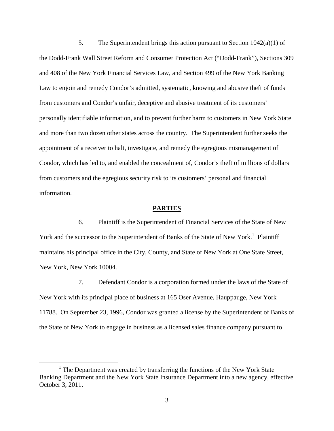and 408 of the New York Financial Services Law, and Section 499 of the New York Banking Law to enjoin and remedy Condor's admitted, systematic, knowing and abusive theft of funds 5. The Superintendent brings this action pursuant to Section  $1042(a)(1)$  of the Dodd-Frank Wall Street Reform and Consumer Protection Act ("Dodd-Frank"), Sections 309 from customers and Condor's unfair, deceptive and abusive treatment of its customers' personally identifiable information, and to prevent further harm to customers in New York State and more than two dozen other states across the country. The Superintendent further seeks the appointment of a receiver to halt, investigate, and remedy the egregious mismanagement of Condor, which has led to, and enabled the concealment of, Condor's theft of millions of dollars from customers and the egregious security risk to its customers' personal and financial information.

#### **PARTIES**

6. Plaintiff is the Superintendent of Financial Services of the State of New York and the successor to the Superintendent of Banks of the State of New York.<sup>1</sup> Plaintiff maintains his principal office in the City, County, and State of New York at One State Street, New York, New York 10004.

 11788. On September 23, 1996, Condor was granted a license by the Superintendent of Banks of 7. Defendant Condor is a corporation formed under the laws of the State of New York with its principal place of business at 165 Oser Avenue, Hauppauge, New York the State of New York to engage in business as a licensed sales finance company pursuant to

 $\overline{a}$ 

 Banking Department and the New York State Insurance Department into a new agency, effective <sup>1</sup> The Department was created by transferring the functions of the New York State October 3, 2011.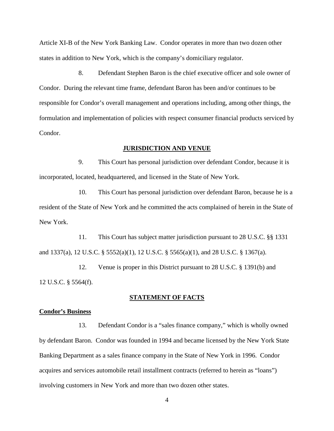Article XI-B of the New York Banking Law. Condor operates in more than two dozen other states in addition to New York, which is the company's domiciliary regulator.

8. Defendant Stephen Baron is the chief executive officer and sole owner of Condor. During the relevant time frame, defendant Baron has been and/or continues to be responsible for Condor's overall management and operations including, among other things, the formulation and implementation of policies with respect consumer financial products serviced by Condor.

### **JURISDICTION AND VENUE**

9. This Court has personal jurisdiction over defendant Condor, because it is incorporated, located, headquartered, and licensed in the State of New York.

 resident of the State of New York and he committed the acts complained of herein in the State of 10. This Court has personal jurisdiction over defendant Baron, because he is a New York.

11. This Court has subject matter jurisdiction pursuant to 28 U.S.C. §§ 1331 and 1337(a), 12 U.S.C. § 5552(a)(1), 12 U.S.C. § 5565(a)(1), and 28 U.S.C. § 1367(a).

12. Venue is proper in this District pursuant to 28 U.S.C. § 1391(b) and 12 U.S.C. § 5564(f).

### **STATEMENT OF FACTS**

#### **Condor's Business**

 Banking Department as a sales finance company in the State of New York in 1996. Condor 13. Defendant Condor is a "sales finance company," which is wholly owned by defendant Baron. Condor was founded in 1994 and became licensed by the New York State acquires and services automobile retail installment contracts (referred to herein as "loans") involving customers in New York and more than two dozen other states.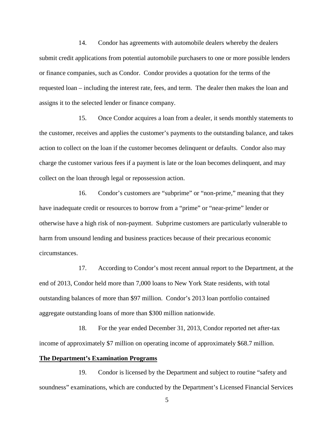assigns it to the selected lender or finance company. 14. Condor has agreements with automobile dealers whereby the dealers submit credit applications from potential automobile purchasers to one or more possible lenders or finance companies, such as Condor. Condor provides a quotation for the terms of the requested loan – including the interest rate, fees, and term. The dealer then makes the loan and

15. Once Condor acquires a loan from a dealer, it sends monthly statements to the customer, receives and applies the customer's payments to the outstanding balance, and takes action to collect on the loan if the customer becomes delinquent or defaults. Condor also may charge the customer various fees if a payment is late or the loan becomes delinquent, and may collect on the loan through legal or repossession action.

16. Condor's customers are "subprime" or "non-prime," meaning that they have inadequate credit or resources to borrow from a "prime" or "near-prime" lender or otherwise have a high risk of non-payment. Subprime customers are particularly vulnerable to harm from unsound lending and business practices because of their precarious economic circumstances.

17. According to Condor's most recent annual report to the Department, at the end of 2013, Condor held more than 7,000 loans to New York State residents, with total outstanding balances of more than \$97 million. Condor's 2013 loan portfolio contained aggregate outstanding loans of more than \$300 million nationwide.

 18. For the year ended December 31, 2013, Condor reported net after-tax income of approximately \$7 million on operating income of approximately \$68.7 million.

### **The Department's Examination Programs**

 19. Condor is licensed by the Department and subject to routine "safety and soundness" examinations, which are conducted by the Department's Licensed Financial Services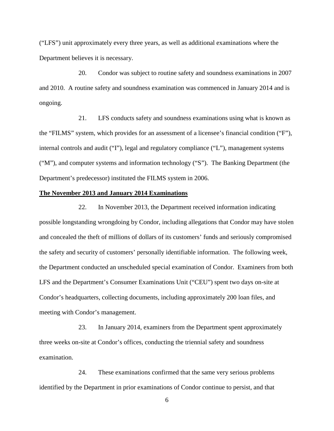("LFS") unit approximately every three years, as well as additional examinations where the Department believes it is necessary.

20. Condor was subject to routine safety and soundness examinations in 2007 and 2010. A routine safety and soundness examination was commenced in January 2014 and is ongoing.

 internal controls and audit ("I"), legal and regulatory compliance ("L"), management systems 21. LFS conducts safety and soundness examinations using what is known as the "FILMS" system, which provides for an assessment of a licensee's financial condition ("F"), ("M"), and computer systems and information technology ("S"). The Banking Department (the Department's predecessor) instituted the FILMS system in 2006.

#### **The November 2013 and January 2014 Examinations**

22. In November 2013, the Department received information indicating possible longstanding wrongdoing by Condor, including allegations that Condor may have stolen and concealed the theft of millions of dollars of its customers' funds and seriously compromised the safety and security of customers' personally identifiable information. The following week, the Department conducted an unscheduled special examination of Condor. Examiners from both LFS and the Department's Consumer Examinations Unit ("CEU") spent two days on-site at Condor's headquarters, collecting documents, including approximately 200 loan files, and meeting with Condor's management.

 three weeks on-site at Condor's offices, conducting the triennial safety and soundness 23. In January 2014, examiners from the Department spent approximately examination.

24. These examinations confirmed that the same very serious problems identified by the Department in prior examinations of Condor continue to persist, and that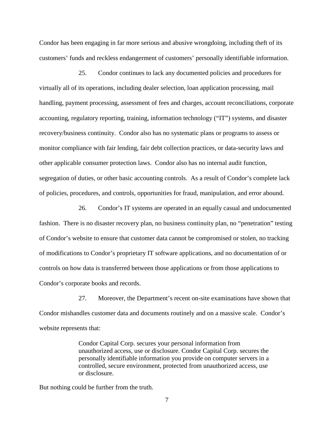Condor has been engaging in far more serious and abusive wrongdoing, including theft of its customers' funds and reckless endangerment of customers' personally identifiable information.

 handling, payment processing, assessment of fees and charges, account reconciliations, corporate 25. Condor continues to lack any documented policies and procedures for virtually all of its operations, including dealer selection, loan application processing, mail accounting, regulatory reporting, training, information technology ("IT") systems, and disaster recovery/business continuity. Condor also has no systematic plans or programs to assess or monitor compliance with fair lending, fair debt collection practices, or data-security laws and other applicable consumer protection laws. Condor also has no internal audit function, segregation of duties, or other basic accounting controls. As a result of Condor's complete lack of policies, procedures, and controls, opportunities for fraud, manipulation, and error abound.

26. Condor's IT systems are operated in an equally casual and undocumented fashion. There is no disaster recovery plan, no business continuity plan, no "penetration" testing of Condor's website to ensure that customer data cannot be compromised or stolen, no tracking of modifications to Condor's proprietary IT software applications, and no documentation of or controls on how data is transferred between those applications or from those applications to Condor's corporate books and records.

27. Moreover, the Department's recent on-site examinations have shown that Condor mishandles customer data and documents routinely and on a massive scale. Condor's website represents that:

> Condor Capital Corp. secures your personal information from unauthorized access, use or disclosure. Condor Capital Corp. secures the personally identifiable information you provide on computer servers in a controlled, secure environment, protected from unauthorized access, use or disclosure.

But nothing could be further from the truth.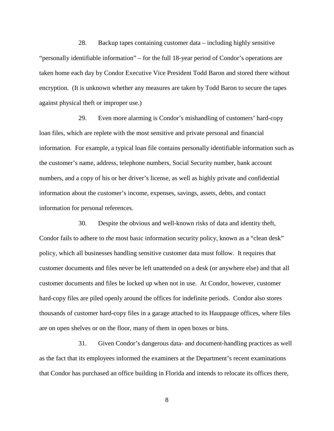against physical theft or improper use.) 28. Backup tapes containing customer data – including highly sensitive "personally identifiable information" – for the full 18-year period of Condor's operations are taken home each day by Condor Executive Vice President Todd Baron and stored there without encryption. (It is unknown whether any measures are taken by Todd Baron to secure the tapes

 information for personal references. 29. Even more alarming is Condor's mishandling of customers' hard-copy loan files, which are replete with the most sensitive and private personal and financial information. For example, a typical loan file contains personally identifiable information such as the customer's name, address, telephone numbers, Social Security number, bank account numbers, and a copy of his or her driver's license, as well as highly private and confidential information about the customer's income, expenses, savings, assets, debts, and contact

 customer documents and files never be left unattended on a desk (or anywhere else) and that all hard-copy files are piled openly around the offices for indefinite periods. Condor also stores thousands of customer hard-copy files in a garage attached to its Hauppauge offices, where files 30. Despite the obvious and well-known risks of data and identity theft, Condor fails to adhere to *the* most basic information security policy, known as a "clean desk" policy, which all businesses handling sensitive customer data must follow. It requires that customer documents and files be locked up when not in use. At Condor, however, customer are on open shelves or on the floor, many of them in open boxes or bins.

 31. Given Condor's dangerous data- and document-handling practices as well as the fact that its employees informed the examiners at the Department's recent examinations that Condor has purchased an office building in Florida and intends to relocate its offices there,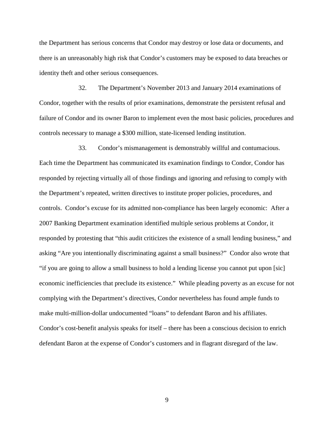the Department has serious concerns that Condor may destroy or lose data or documents, and there is an unreasonably high risk that Condor's customers may be exposed to data breaches or identity theft and other serious consequences.

32. The Department's November 2013 and January 2014 examinations of Condor, together with the results of prior examinations, demonstrate the persistent refusal and failure of Condor and its owner Baron to implement even the most basic policies, procedures and controls necessary to manage a \$300 million, state-licensed lending institution.

 responded by protesting that "this audit criticizes the existence of a small lending business," and "if you are going to allow a small business to hold a lending license you cannot put upon [sic] economic inefficiencies that preclude its existence." While pleading poverty as an excuse for not make multi-million-dollar undocumented "loans" to defendant Baron and his affiliates. 33. Condor's mismanagement is demonstrably willful and contumacious. Each time the Department has communicated its examination findings to Condor, Condor has responded by rejecting virtually all of those findings and ignoring and refusing to comply with the Department's repeated, written directives to institute proper policies, procedures, and controls. Condor's excuse for its admitted non-compliance has been largely economic: After a 2007 Banking Department examination identified multiple serious problems at Condor, it asking "Are you intentionally discriminating against a small business?" Condor also wrote that complying with the Department's directives, Condor nevertheless has found ample funds to Condor's cost-benefit analysis speaks for itself – there has been a conscious decision to enrich defendant Baron at the expense of Condor's customers and in flagrant disregard of the law.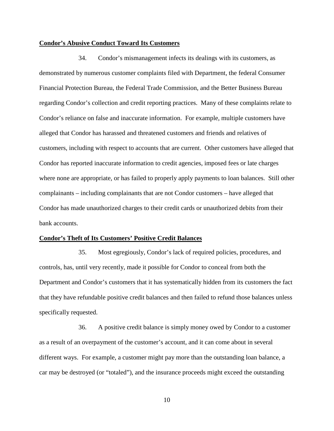#### **Condor's Abusive Conduct Toward Its Customers**

 Financial Protection Bureau, the Federal Trade Commission, and the Better Business Bureau customers, including with respect to accounts that are current. Other customers have alleged that 34. Condor's mismanagement infects its dealings with its customers, as demonstrated by numerous customer complaints filed with Department, the federal Consumer regarding Condor's collection and credit reporting practices. Many of these complaints relate to Condor's reliance on false and inaccurate information. For example, multiple customers have alleged that Condor has harassed and threatened customers and friends and relatives of Condor has reported inaccurate information to credit agencies, imposed fees or late charges where none are appropriate, or has failed to properly apply payments to loan balances. Still other complainants – including complainants that are not Condor customers – have alleged that Condor has made unauthorized charges to their credit cards or unauthorized debits from their bank accounts.

### **Condor's Theft of Its Customers' Positive Credit Balances**

35. Most egregiously, Condor's lack of required policies, procedures, and controls, has, until very recently, made it possible for Condor to conceal from both the Department and Condor's customers that it has systematically hidden from its customers the fact that they have refundable positive credit balances and then failed to refund those balances unless specifically requested.

 36. A positive credit balance is simply money owed by Condor to a customer car may be destroyed (or "totaled"), and the insurance proceeds might exceed the outstanding as a result of an overpayment of the customer's account, and it can come about in several different ways. For example, a customer might pay more than the outstanding loan balance, a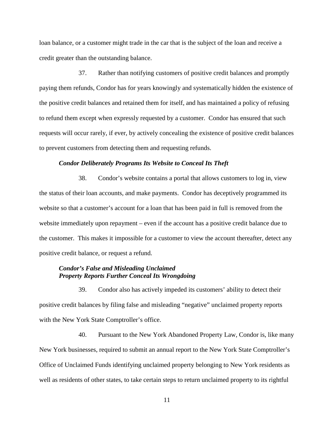loan balance, or a customer might trade in the car that is the subject of the loan and receive a credit greater than the outstanding balance.

 37. Rather than notifying customers of positive credit balances and promptly to refund them except when expressly requested by a customer. Condor has ensured that such paying them refunds, Condor has for years knowingly and systematically hidden the existence of the positive credit balances and retained them for itself, and has maintained a policy of refusing requests will occur rarely, if ever, by actively concealing the existence of positive credit balances to prevent customers from detecting them and requesting refunds.

### *Condor Deliberately Programs Its Website to Conceal Its Theft*

 positive credit balance, or request a refund. 38. Condor's website contains a portal that allows customers to log in, view the status of their loan accounts, and make payments. Condor has deceptively programmed its website so that a customer's account for a loan that has been paid in full is removed from the website immediately upon repayment – even if the account has a positive credit balance due to the customer. This makes it impossible for a customer to view the account thereafter, detect any

### *Condor's False and Misleading Unclaimed Property Reports Further Conceal Its Wrongdoing*

 positive credit balances by filing false and misleading "negative" unclaimed property reports 39. Condor also has actively impeded its customers' ability to detect their with the New York State Comptroller's office.

40. Pursuant to the New York Abandoned Property Law, Condor is, like many New York businesses, required to submit an annual report to the New York State Comptroller's Office of Unclaimed Funds identifying unclaimed property belonging to New York residents as well as residents of other states, to take certain steps to return unclaimed property to its rightful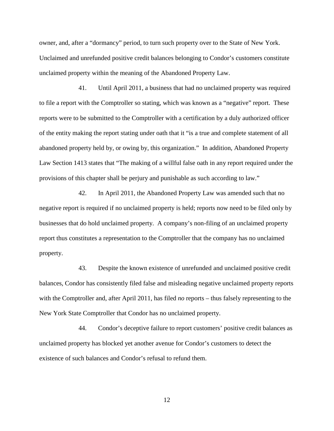unclaimed property within the meaning of the Abandoned Property Law. owner, and, after a "dormancy" period, to turn such property over to the State of New York. Unclaimed and unrefunded positive credit balances belonging to Condor's customers constitute

 41. Until April 2011, a business that had no unclaimed property was required reports were to be submitted to the Comptroller with a certification by a duly authorized officer abandoned property held by, or owing by, this organization." In addition, Abandoned Property provisions of this chapter shall be perjury and punishable as such according to law." to file a report with the Comptroller so stating, which was known as a "negative" report. These of the entity making the report stating under oath that it "is a true and complete statement of all Law Section 1413 states that "The making of a willful false oath in any report required under the

42. In April 2011, the Abandoned Property Law was amended such that no negative report is required if no unclaimed property is held; reports now need to be filed only by businesses that do hold unclaimed property. A company's non-filing of an unclaimed property report thus constitutes a representation to the Comptroller that the company has no unclaimed property.

 balances, Condor has consistently filed false and misleading negative unclaimed property reports 43. Despite the known existence of unrefunded and unclaimed positive credit with the Comptroller and, after April 2011, has filed *no* reports – thus falsely representing to the New York State Comptroller that Condor has no unclaimed property.

44. Condor's deceptive failure to report customers' positive credit balances as unclaimed property has blocked yet another avenue for Condor's customers to detect the existence of such balances and Condor's refusal to refund them.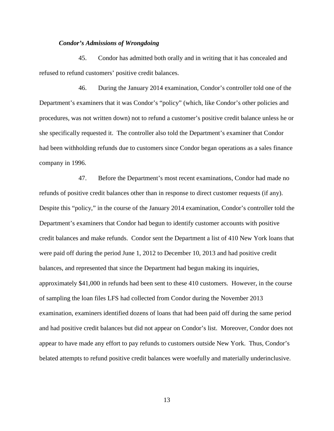### *Condor's Admissions of Wrongdoing*

45. Condor has admitted both orally and in writing that it has concealed and refused to refund customers' positive credit balances.

46. During the January 2014 examination, Condor's controller told one of the Department's examiners that it was Condor's "policy" (which, like Condor's other policies and procedures, was not written down) not to refund a customer's positive credit balance unless he or she specifically requested it. The controller also told the Department's examiner that Condor had been withholding refunds due to customers since Condor began operations as a sales finance company in 1996.

 of sampling the loan files LFS had collected from Condor during the November 2013 appear to have made any effort to pay refunds to customers outside New York. Thus, Condor's 47. Before the Department's most recent examinations, Condor had made no refunds of positive credit balances other than in response to direct customer requests (if any). Despite this "policy," in the course of the January 2014 examination, Condor's controller told the Department's examiners that Condor had begun to identify customer accounts with positive credit balances and make refunds. Condor sent the Department a list of 410 New York loans that were paid off during the period June 1, 2012 to December 10, 2013 and had positive credit balances, and represented that since the Department had begun making its inquiries, approximately \$41,000 in refunds had been sent to these 410 customers. However, in the course examination, examiners identified dozens of loans that had been paid off during the same period and had positive credit balances but did not appear on Condor's list. Moreover, Condor does not belated attempts to refund positive credit balances were woefully and materially underinclusive.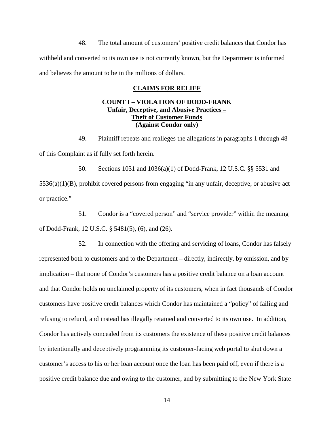48. The total amount of customers' positive credit balances that Condor has withheld and converted to its own use is not currently known, but the Department is informed and believes the amount to be in the millions of dollars.

### **CLAIMS FOR RELIEF**

# **Theft of Customer Funds COUNT I – VIOLATION OF DODD-FRANK Unfair, Deceptive, and Abusive Practices – (Against Condor only)**

49. Plaintiff repeats and realleges the allegations in paragraphs 1 through 48 of this Complaint as if fully set forth herein.

 5536(a)(1)(B), prohibit covered persons from engaging "in any unfair, deceptive, or abusive act 50. Sections 1031 and 1036(a)(1) of Dodd-Frank, 12 U.S.C. §§ 5531 and or practice."

51. Condor is a "covered person" and "service provider" within the meaning of Dodd-Frank, 12 U.S.C. § 5481(5), (6), and (26).

 customer's access to his or her loan account once the loan has been paid off, even if there is a 52. In connection with the offering and servicing of loans, Condor has falsely represented both to customers and to the Department – directly, indirectly, by omission, and by implication – that none of Condor's customers has a positive credit balance on a loan account and that Condor holds no unclaimed property of its customers, when in fact thousands of Condor customers have positive credit balances which Condor has maintained a "policy" of failing and refusing to refund, and instead has illegally retained and converted to its own use. In addition, Condor has actively concealed from its customers the existence of these positive credit balances by intentionally and deceptively programming its customer-facing web portal to shut down a positive credit balance due and owing to the customer, and by submitting to the New York State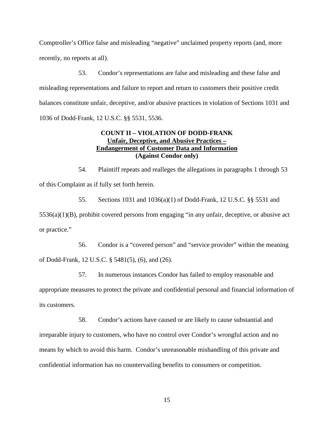Comptroller's Office false and misleading "negative" unclaimed property reports (and, more recently, no reports at all).

53. Condor's representations are false and misleading and these false and misleading representations and failure to report and return to customers their positive credit balances constitute unfair, deceptive, and/or abusive practices in violation of Sections 1031 and 1036 of Dodd-Frank, 12 U.S.C. §§ 5531, 5536.

# **COUNT II – VIOLATION OF DODD-FRANK Unfair, Deceptive, and Abusive Practices – Endangerment of Customer Data and Information (Against Condor only)**

54. Plaintiff repeats and realleges the allegations in paragraphs 1 through 53 of this Complaint as if fully set forth herein.

 5536(a)(1)(B), prohibit covered persons from engaging "in any unfair, deceptive, or abusive act 55. Sections 1031 and 1036(a)(1) of Dodd-Frank, 12 U.S.C. §§ 5531 and or practice."

56. Condor is a "covered person" and "service provider" within the meaning of Dodd-Frank, 12 U.S.C. § 5481(5), (6), and (26).

57. In numerous instances Condor has failed to employ reasonable and appropriate measures to protect the private and confidential personal and financial information of its customers.

58. Condor's actions have caused or are likely to cause substantial and irreparable injury to customers, who have no control over Condor's wrongful action and no means by which to avoid this harm. Condor's unreasonable mishandling of this private and confidential information has no countervailing benefits to consumers or competition.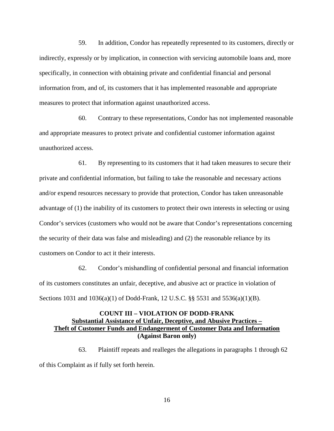59. In addition, Condor has repeatedly represented to its customers, directly or indirectly, expressly or by implication, in connection with servicing automobile loans and, more specifically, in connection with obtaining private and confidential financial and personal information from, and of, its customers that it has implemented reasonable and appropriate measures to protect that information against unauthorized access.

60. Contrary to these representations, Condor has not implemented reasonable and appropriate measures to protect private and confidential customer information against unauthorized access.

 private and confidential information, but failing to take the reasonable and necessary actions the security of their data was false and misleading) and (2) the reasonable reliance by its 61. By representing to its customers that it had taken measures to secure their and/or expend resources necessary to provide that protection, Condor has taken unreasonable advantage of (1) the inability of its customers to protect their own interests in selecting or using Condor's services (customers who would not be aware that Condor's representations concerning customers on Condor to act it their interests.

62. Condor's mishandling of confidential personal and financial information of its customers constitutes an unfair, deceptive, and abusive act or practice in violation of Sections 1031 and 1036(a)(1) of Dodd-Frank, 12 U.S.C. §§ 5531 and 5536(a)(1)(B).

# **Substantial Assistance of Unfair, Deceptive, and Abusive Practices – Theft of Customer Funds and Endangerment of Customer Data and Information COUNT III – VIOLATION OF DODD-FRANK (Against Baron only)**

63. Plaintiff repeats and realleges the allegations in paragraphs 1 through 62 of this Complaint as if fully set forth herein.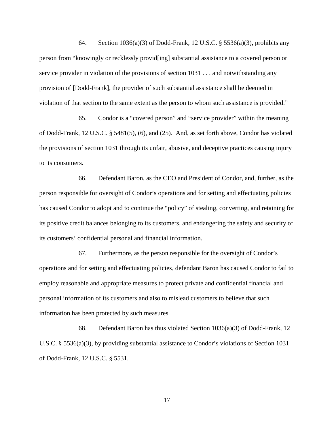64. Section 1036(a)(3) of Dodd-Frank, 12 U.S.C. § 5536(a)(3), prohibits any person from "knowingly or recklessly provid[ing] substantial assistance to a covered person or service provider in violation of the provisions of section 1031 . . . and notwithstanding any provision of [Dodd-Frank], the provider of such substantial assistance shall be deemed in violation of that section to the same extent as the person to whom such assistance is provided."

65. Condor is a "covered person" and "service provider" within the meaning of Dodd-Frank, 12 U.S.C. § 5481(5), (6), and (25). And, as set forth above, Condor has violated the provisions of section 1031 through its unfair, abusive, and deceptive practices causing injury to its consumers.

 its customers' confidential personal and financial information. 66. Defendant Baron, as the CEO and President of Condor, and, further, as the person responsible for oversight of Condor's operations and for setting and effectuating policies has caused Condor to adopt and to continue the "policy" of stealing, converting, and retaining for its positive credit balances belonging to its customers, and endangering the safety and security of

67. Furthermore, as the person responsible for the oversight of Condor's operations and for setting and effectuating policies, defendant Baron has caused Condor to fail to employ reasonable and appropriate measures to protect private and confidential financial and personal information of its customers and also to mislead customers to believe that such information has been protected by such measures.

68. Defendant Baron has thus violated Section 1036(a)(3) of Dodd-Frank, 12 U.S.C. § 5536(a)(3), by providing substantial assistance to Condor's violations of Section 1031 of Dodd-Frank, 12 U.S.C. § 5531.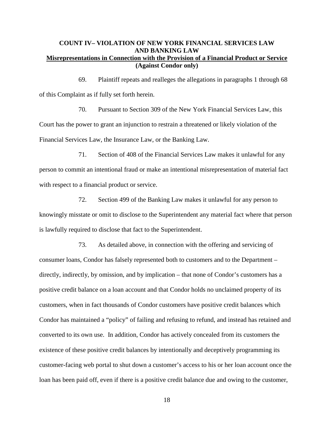# **COUNT IV– VIOLATION OF NEW YORK FINANCIAL SERVICES LAW AND BANKING LAW Misrepresentations in Connection with the Provision of a Financial Product or Service (Against Condor only)**

69. Plaintiff repeats and realleges the allegations in paragraphs 1 through 68 of this Complaint as if fully set forth herein.

 70. Pursuant to Section 309 of the New York Financial Services Law, this Financial Services Law, the Insurance Law, or the Banking Law. Court has the power to grant an injunction to restrain a threatened or likely violation of the

71. Section of 408 of the Financial Services Law makes it unlawful for any person to commit an intentional fraud or make an intentional misrepresentation of material fact with respect to a financial product or service.

72. Section 499 of the Banking Law makes it unlawful for any person to knowingly misstate or omit to disclose to the Superintendent any material fact where that person is lawfully required to disclose that fact to the Superintendent.

 Condor has maintained a "policy" of failing and refusing to refund, and instead has retained and converted to its own use. In addition, Condor has actively concealed from its customers the 73. As detailed above, in connection with the offering and servicing of consumer loans, Condor has falsely represented both to customers and to the Department – directly, indirectly, by omission, and by implication – that none of Condor's customers has a positive credit balance on a loan account and that Condor holds no unclaimed property of its customers, when in fact thousands of Condor customers have positive credit balances which existence of these positive credit balances by intentionally and deceptively programming its customer-facing web portal to shut down a customer's access to his or her loan account once the loan has been paid off, even if there is a positive credit balance due and owing to the customer,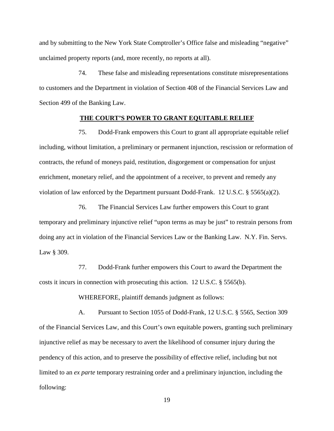and by submitting to the New York State Comptroller's Office false and misleading "negative" unclaimed property reports (and, more recently, no reports at all).

 to customers and the Department in violation of Section 408 of the Financial Services Law and Section 499 of the Banking Law. 74. These false and misleading representations constitute misrepresentations

## **THE COURT'S POWER TO GRANT EQUITABLE RELIEF**

 75. Dodd-Frank empowers this Court to grant all appropriate equitable relief including, without limitation, a preliminary or permanent injunction, rescission or reformation of contracts, the refund of moneys paid, restitution, disgorgement or compensation for unjust enrichment, monetary relief, and the appointment of a receiver, to prevent and remedy any violation of law enforced by the Department pursuant Dodd-Frank. 12 U.S.C.  $\S$  5565(a)(2).

 doing any act in violation of the Financial Services Law or the Banking Law. N.Y. Fin. Servs. 76. The Financial Services Law further empowers this Court to grant temporary and preliminary injunctive relief "upon terms as may be just" to restrain persons from Law § 309.

77. Dodd-Frank further empowers this Court to award the Department the costs it incurs in connection with prosecuting this action.  $12 \text{ U.S.C. }$  § 5565(b).

WHEREFORE, plaintiff demands judgment as follows:

 pendency of this action, and to preserve the possibility of effective relief, including but not A. Pursuant to Section 1055 of Dodd-Frank, 12 U.S.C. § 5565, Section 309 of the Financial Services Law, and this Court's own equitable powers, granting such preliminary injunctive relief as may be necessary to avert the likelihood of consumer injury during the limited to an *ex parte* temporary restraining order and a preliminary injunction, including the following: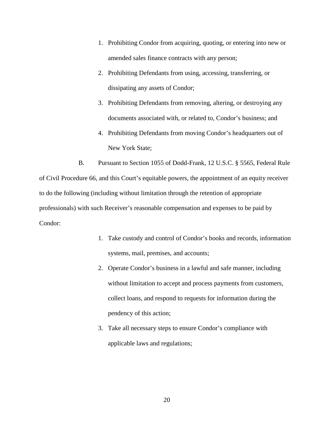- 1. Prohibiting Condor from acquiring, quoting, or entering into new or amended sales finance contracts with any person;
- dissipating any assets of Condor; 2. Prohibiting Defendants from using, accessing, transferring, or
- 3. Prohibiting Defendants from removing, altering, or destroying any documents associated with, or related to, Condor's business; and
- 4. Prohibiting Defendants from moving Condor's headquarters out of New York State;

 to do the following (including without limitation through the retention of appropriate B. Pursuant to Section 1055 of Dodd-Frank, 12 U.S.C. § 5565, Federal Rule of Civil Procedure 66, and this Court's equitable powers, the appointment of an equity receiver professionals) with such Receiver's reasonable compensation and expenses to be paid by Condor:

- 1. Take custody and control of Condor's books and records, information systems, mail, premises, and accounts;
- pendency of this action; 2. Operate Condor's business in a lawful and safe manner, including without limitation to accept and process payments from customers, collect loans, and respond to requests for information during the
- applicable laws and regulations; 3. Take all necessary steps to ensure Condor's compliance with applicable laws and regulations;<br>  $20$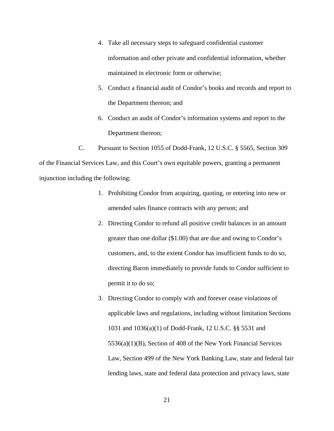- 4. Take all necessary steps to safeguard confidential customer information and other private and confidential information, whether maintained in electronic form or otherwise;
- 5. Conduct a financial audit of Condor's books and records and report to the Department thereon; and
- Department thereon; 6. Conduct an audit of Condor's information systems and report to the

C. Pursuant to Section 1055 of Dodd-Frank, 12 U.S.C. § 5565, Section 309 of the Financial Services Law, and this Court's own equitable powers, granting a permanent injunction including the following:

- amended sales finance contracts with any person; and 1. Prohibiting Condor from acquiring, quoting, or entering into new or
- 2. Directing Condor to refund all positive credit balances in an amount greater than one dollar (\$1.00) that are due and owing to Condor's customers, and, to the extent Condor has insufficient funds to do so, directing Baron immediately to provide funds to Condor sufficient to permit it to do so;
- Law, Section 499 of the New York Banking Law, state and federal fair 3. Directing Condor to comply with and forever cease violations of applicable laws and regulations, including without limitation Sections 1031 and 1036(a)(1) of Dodd-Frank, 12 U.S.C. §§ 5531 and 5536(a)(1)(B), Section of 408 of the New York Financial Services lending laws, state and federal data protection and privacy laws, state